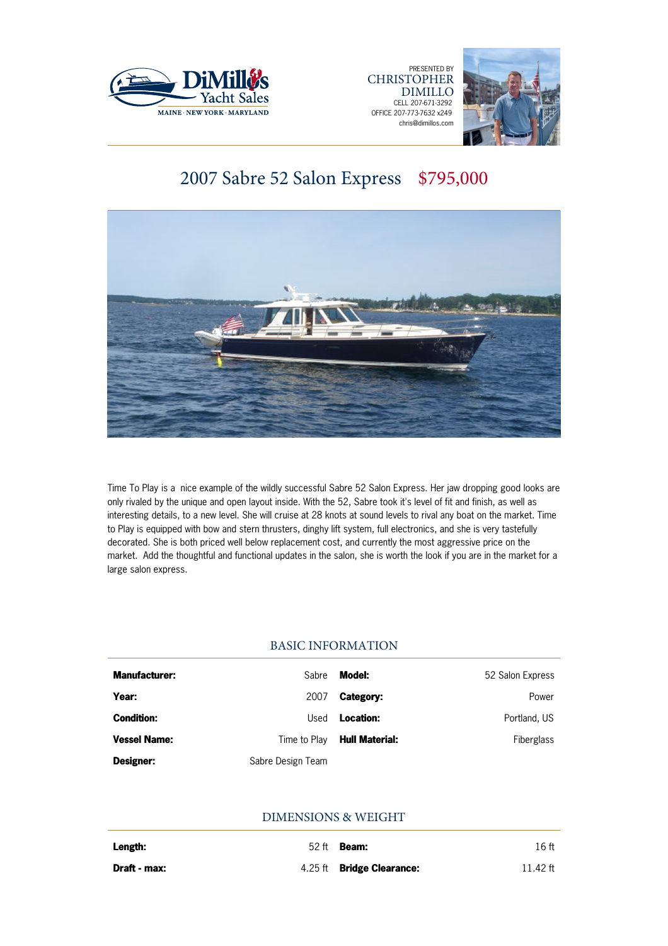





# 2007 Sabre 52 Salon Express \$795,000



Time To Play is a nice example of the wildly successful Sabre 52 Salon Express. Her jaw dropping good looks are only rivaled by the unique and open layout inside. With the 52, Sabre took it's level of fit and finish, as well as interesting details, to a new level. She will cruise at 28 knots at sound levels to rival any boat on the market. Time to Play is equipped with bow and stern thrusters, dinghy lift system, full electronics, and she is very tastefully decorated. She is both priced well below replacement cost, and currently the most aggressive price on the market. Add the thoughtful and functional updates in the salon, she is worth the look if you are in the market for a large salon express.

# BASIC INFORMATION

| <b>Manufacturer:</b> | Sabre             | Model:                | 52 Salon Express |
|----------------------|-------------------|-----------------------|------------------|
| Year:                | 2007              | Category:             | Power            |
| <b>Condition:</b>    | Used              | Location:             | Portland, US     |
| <b>Vessel Name:</b>  | Time to Plav      | <b>Hull Material:</b> | Fiberglass       |
| Designer:            | Sabre Design Team |                       |                  |

# DIMENSIONS & WEIGHT

| Length:      | 52 ft | Beam:                            | 16 ft    |
|--------------|-------|----------------------------------|----------|
| Draft - max: |       | 4.25 ft <b>Bridge Clearance:</b> | 11.42 ft |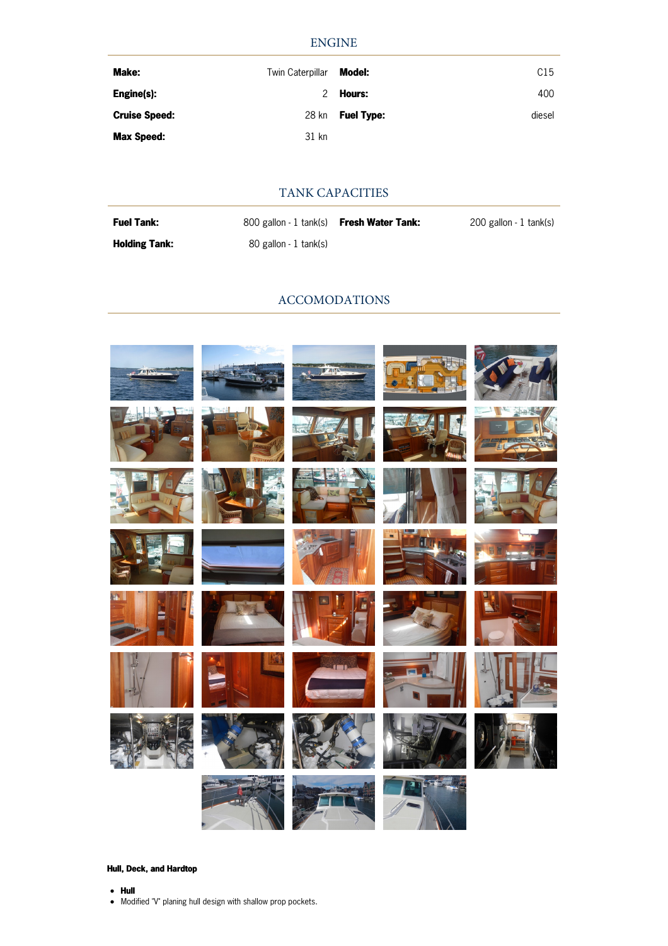# ENGINE

| Make:                | Twin Caterpillar | Model:            | C15    |
|----------------------|------------------|-------------------|--------|
| Engine(s):           | $\mathcal{P}$    | Hours:            | 400    |
| <b>Cruise Speed:</b> | 28 kn            | <b>Fuel Type:</b> | diesel |
| <b>Max Speed:</b>    | 31 kn            |                   |        |

# TANK CAPACITIES

| <b>Fuel Tank:</b>    | 800 gallon - 1 tank(s) <b>Fresh Water Tank:</b> | 200 gallon - 1 tank(s) |
|----------------------|-------------------------------------------------|------------------------|
| <b>Holding Tank:</b> | 80 gallon - 1 tank(s)                           |                        |

### ACCOMODATIONS



### **Hull, Deck, and Hardtop**

- **Hull**
- $\bullet$  Modified "V" planing hull design with shallow prop pockets.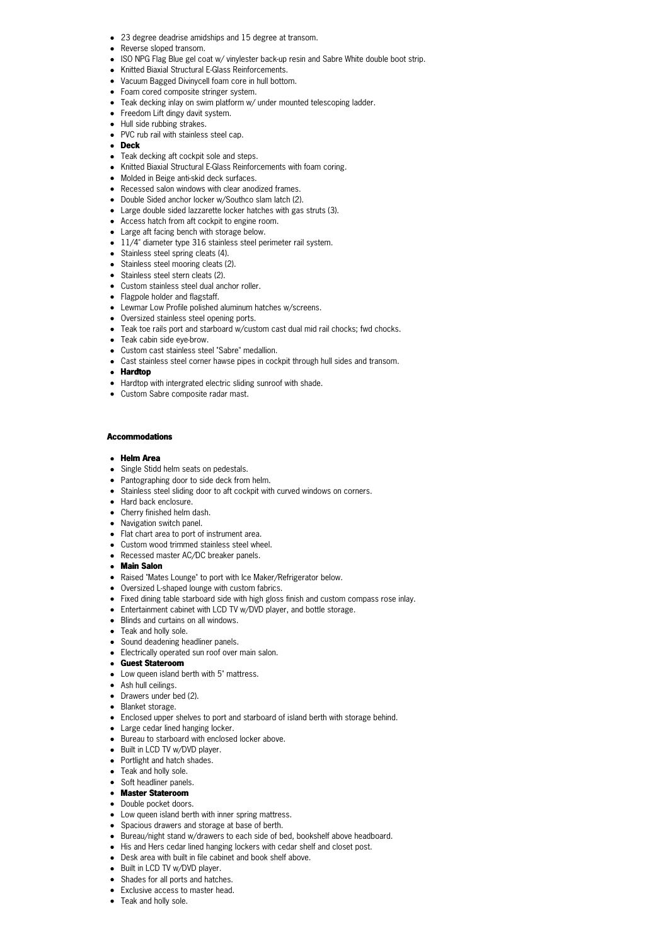- 23 degree deadrise amidships and 15 degree at transom.
- **•** Reverse sloped transom
- ISO NPG Flag Blue gel coat w/ vinylester back-up resin and Sabre White double boot strip.
- Knitted Biaxial Structural E-Glass Reinforcements.
- Vacuum Bagged Divinycell foam core in hull bottom.
- Foam cored composite stringer system.
- Teak decking inlay on swim platform w/ under mounted telescoping ladder.
- Freedom Lift dingy davit system.
- Hull side rubbing strakes.
- PVC rub rail with stainless steel cap.
- **Deck**
- Teak decking aft cockpit sole and steps.
- Knitted Biaxial Structural E-Glass Reinforcements with foam coring.
- Molded in Beige anti-skid deck surfaces.
- Recessed salon windows with clear anodized frames.
- Double Sided anchor locker w/Southco slam latch (2).
- Large double sided lazzarette locker hatches with gas struts (3).
- Access hatch from aft cockpit to engine room.
- Large aft facing bench with storage below.
- $\bullet$  11/4" diameter type 316 stainless steel perimeter rail system.
- Stainless steel spring cleats (4).
- Stainless steel mooring cleats (2).
- Stainless steel stern cleats (2).
- Custom stainless steel dual anchor roller.
- Flagpole holder and flagstaff.
- Lewmar Low Profile polished aluminum hatches w/screens.
- Oversized stainless steel opening ports.
- Teak toe rails port and starboard w/custom cast dual mid rail chocks; fwd chocks.
- Teak cabin side eye-brow.
- Custom cast stainless steel "Sabre" medallion.
- Cast stainless steel corner hawse pipes in cockpit through hull sides and transom.
- **Hardtop**
- Hardtop with intergrated electric sliding sunroof with shade.
- Custom Sabre composite radar mast.

#### **Accommodations**

#### **Helm Area**

- Single Stidd helm seats on pedestals.
- Pantographing door to side deck from helm.
- Stainless steel sliding door to aft cockpit with curved windows on corners.
- Hard back enclosure.
- Cherry finished helm dash.
- Navigation switch panel.
- Flat chart area to port of instrument area.
- Custom wood trimmed stainless steel wheel.
- Recessed master AC/DC breaker panels.
- **Main Salon**
- Raised "Mates Lounge" to port with Ice Maker/Refrigerator below.
- Oversized L-shaped lounge with custom fabrics.
- Fixed dining table starboard side with high gloss finish and custom compass rose inlay.
- Entertainment cabinet with LCD TV w/DVD player, and bottle storage.
- Blinds and curtains on all windows.
- Teak and holly sole.
- Sound deadening headliner panels.
- Electrically operated sun roof over main salon.
- **Guest Stateroom**
- Low queen island berth with 5" mattress.
- Ash hull ceilings.
- Drawers under bed (2).
- Blanket storage.
- Enclosed upper shelves to port and starboard of island berth with storage behind.
- Large cedar lined hanging locker.
- Bureau to starboard with enclosed locker above.
- Built in LCD TV w/DVD player.
- Portlight and hatch shades.
- Teak and holly sole.
- Soft headliner panels.
- **Master Stateroom**
- Double pocket doors.
- Low queen island berth with inner spring mattress.
- Spacious drawers and storage at base of berth.
- Bureau/night stand w/drawers to each side of bed, bookshelf above headboard.
- His and Hers cedar lined hanging lockers with cedar shelf and closet post.
- Desk area with built in file cabinet and book shelf above.
- Built in LCD TV w/DVD player.
- Shades for all ports and hatches.
- Exclusive access to master head.
- Teak and holly sole.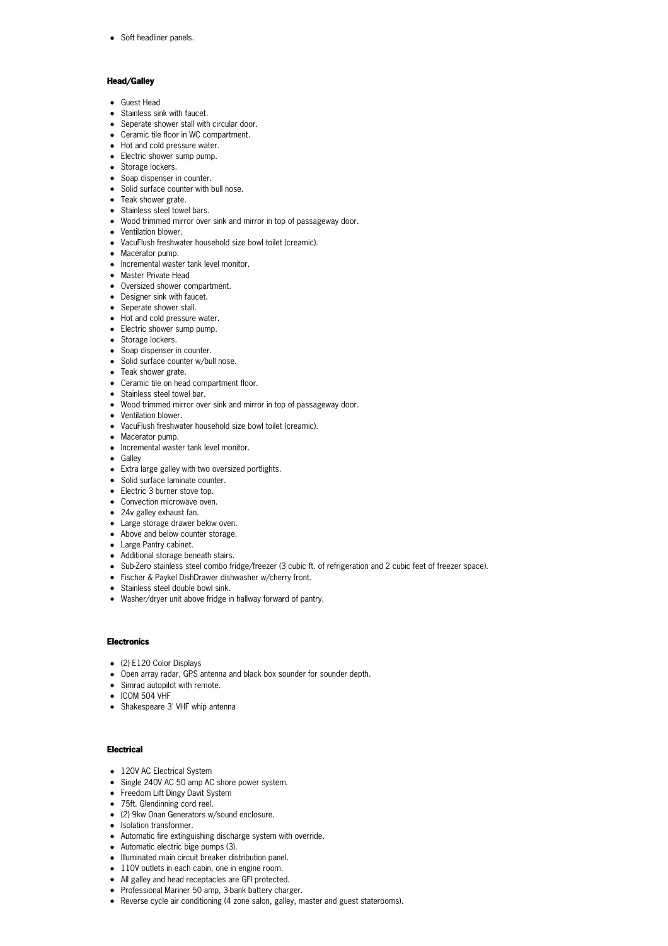• Soft headliner panels.

## **Head/Galley**

- Guest Head
- Stainless sink with faucet.
- Seperate shower stall with circular door.
- Ceramic tile floor in WC compartment.
- Hot and cold pressure water.
- Electric shower sump pump.
- Storage lockers.
- Soap dispenser in counter.
- Solid surface counter with bull nose.
- Teak shower grate.
- Stainless steel towel bars.
- Wood trimmed mirror over sink and mirror in top of passageway door.
- Ventilation blower.
- VacuFlush freshwater household size bowl toilet (creamic).
- Macerator pump.
- Incremental waster tank level monitor.
- Master Private Head
- Oversized shower compartment.
- Designer sink with faucet.
- Seperate shower stall.
- Hot and cold pressure water.
- Electric shower sump pump.
- Storage lockers.
- Soap dispenser in counter.
- Solid surface counter w/bull nose.
- Teak shower grate.
- Ceramic tile on head compartment floor.
- Stainless steel towel bar.
- Wood trimmed mirror over sink and mirror in top of passageway door.
- Ventilation blower.
- VacuFlush freshwater household size bowl toilet (creamic).
- Macerator pump.
- Incremental waster tank level monitor.
- Galley
- Extra large galley with two oversized portlights.
- Solid surface laminate counter.
- Electric 3 burner stove top.
- Convection microwave oven.
- 24v galley exhaust fan.
- Large storage drawer below oven.
- Above and below counter storage.
- Large Pantry cabinet.
- Additional storage beneath stairs.
- Sub-Zero stainless steel combo fridge/freezer (3 cubic ft. of refrigeration and 2 cubic feet of freezer space).
- Fischer & Paykel DishDrawer dishwasher w/cherry front.
- Stainless steel double bowl sink.
- Washer/dryer unit above fridge in hallway forward of pantry.

#### **Electronics**

- (2) E120 Color Displays
- Open array radar, GPS antenna and black box sounder for sounder depth.
- Simrad autopilot with remote.
- ICOM 504 VHF
- Shakespeare 3' VHF whip antenna

#### **Electrical**

- 120V AC Electrical System
- Single 240V AC 50 amp AC shore power system.
- Freedom Lift Dingy Davit System
- 75ft. Glendinning cord reel.
- (2) 9kw Onan Generators w/sound enclosure.
- Isolation transformer.
- Automatic fire extinguishing discharge system with override.
- Automatic electric bige pumps (3).
- Illuminated main circuit breaker distribution panel.
- 110V outlets in each cabin, one in engine room.
- All galley and head receptacles are GFI protected.
- Professional Mariner 50 amp, 3-bank battery charger.
- Reverse cycle air conditioning (4 zone salon, galley, master and guest staterooms).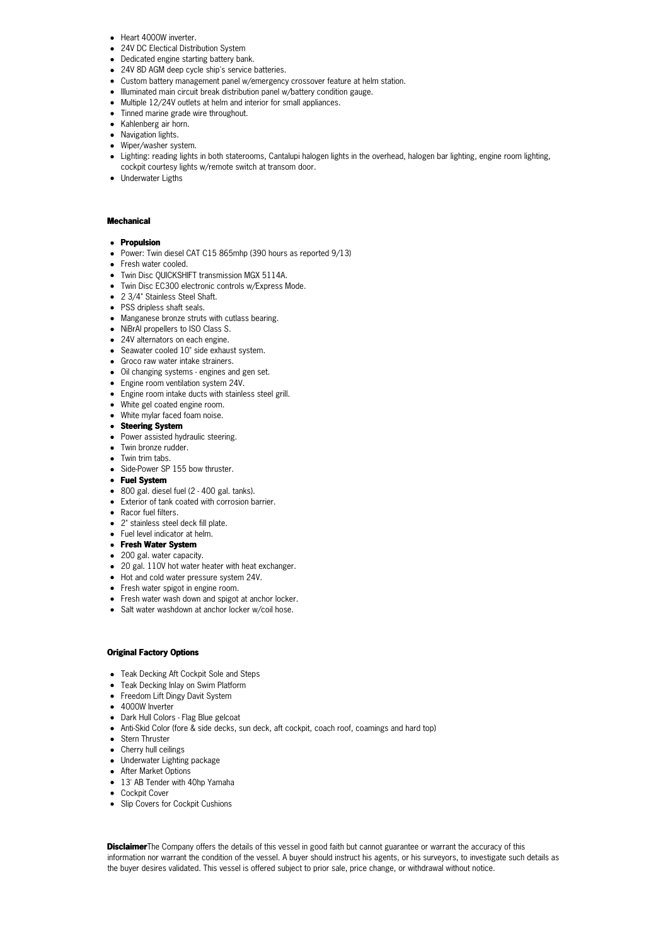- Heart 4000W inverter.
- 24V DC Electical Distribution System
- Dedicated engine starting battery bank.
- 24V 8D AGM deep cycle ship's service batteries.
- Custom battery management panel w/emergency crossover feature at helm station.
- Illuminated main circuit break distribution panel w/battery condition gauge.
- Multiple 12/24V outlets at helm and interior for small appliances. • Tinned marine grade wire throughout.
- Kahlenberg air horn.
- Navigation lights.
- Wiper/washer system.
- Lighting: reading lights in both staterooms, Cantalupi halogen lights in the overhead, halogen bar lighting, engine room lighting, cockpit courtesy lights w/remote switch at transom door.
- Underwater Ligths

#### **Mechanical**

#### **Propulsion**

- Power: Twin diesel CAT C15 865mhp (390 hours as reported 9/13)
- Fresh water cooled.
- Twin Disc QUICKSHIFT transmission MGX 5114A.
- Twin Disc EC300 electronic controls w/Express Mode.
- 2 3/4" Stainless Steel Shaft.
- PSS dripless shaft seals.
- Manganese bronze struts with cutlass bearing.
- NiBrAl propellers to ISO Class S.
- 24V alternators on each engine.
- Seawater cooled 10" side exhaust system.
- Groco raw water intake strainers.
- Oil changing systems engines and gen set.
- Engine room ventilation system 24V.
- Engine room intake ducts with stainless steel grill.
- White gel coated engine room.
- White mylar faced foam noise.
- **Steering System**
- Power assisted hydraulic steering.
- Twin bronze rudder.
- Twin trim tabs.
- Side-Power SP 155 bow thruster.
- **Fuel System**
- 800 gal. diesel fuel (2 400 gal. tanks).
- Exterior of tank coated with corrosion barrier.
- Racor fuel filters.
- 2" stainless steel deck fill plate.
- Fuel level indicator at helm.
- **Fresh Water System**
- 200 gal. water capacity.
- 20 gal. 110V hot water heater with heat exchanger.
- Hot and cold water pressure system 24V.
- Fresh water spigot in engine room.
- Fresh water wash down and spigot at anchor locker.
- Salt water washdown at anchor locker w/coil hose.

#### **Original Factory Options**

- Teak Decking Aft Cockpit Sole and Steps
- Teak Decking Inlay on Swim Platform
- Freedom Lift Dingy Davit System
- 4000W Inverter
- Dark Hull Colors Flag Blue gelcoat
- Anti-Skid Color (fore & side decks, sun deck, aft cockpit, coach roof, coamings and hard top)
- Stern Thruster
- Cherry hull ceilings
- Underwater Lighting package
- After Market Options
- 13' AB Tender with 40hp Yamaha
- Cockpit Cover
- Slip Covers for Cockpit Cushions

**Disclaimer**The Company offers the details of this vessel in good faith but cannot guarantee or warrant the accuracy of this information nor warrant the condition of the vessel. A buyer should instruct his agents, or his surveyors, to investigate such details as the buyer desires validated. This vessel is offered subject to prior sale, price change, or withdrawal without notice.